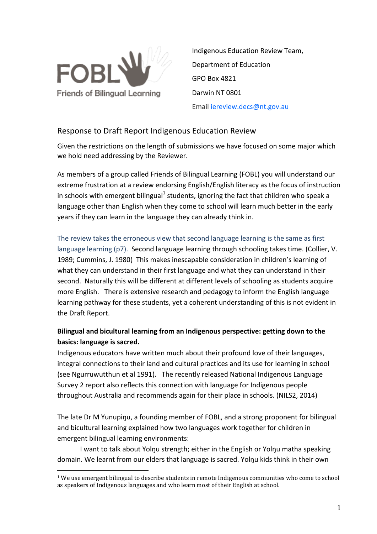

 

Indigenous Education Review Team, Department of Education GPO Box 4821 Darwin NT 0801 Email iereview.decs@nt.gov.au

# Response to Draft Report Indigenous Education Review

Given the restrictions on the length of submissions we have focused on some major which we hold need addressing by the Reviewer.

As members of a group called Friends of Bilingual Learning (FOBL) you will understand our extreme frustration at a review endorsing English/English literacy as the focus of instruction in schools with emergent bilingual<sup>1</sup> students, ignoring the fact that children who speak a language other than English when they come to school will learn much better in the early years if they can learn in the language they can already think in.

The review takes the erroneous view that second language learning is the same as first language learning (p7). Second language learning through schooling takes time. (Collier, V. 1989; Cummins, J. 1980) This makes inescapable consideration in children's learning of what they can understand in their first language and what they can understand in their second. Naturally this will be different at different levels of schooling as students acquire more English. There is extensive research and pedagogy to inform the English language learning pathway for these students, yet a coherent understanding of this is not evident in the Draft Report.

# Bilingual and bicultural learning from an Indigenous perspective: getting down to the **basics:** language is sacred.

Indigenous educators have written much about their profound love of their languages, integral connections to their land and cultural practices and its use for learning in school (see Ngurruwutthun et al 1991). The recently released National Indigenous Language Survey 2 report also reflects this connection with language for Indigenous people throughout Australia and recommends again for their place in schools. (NILS2, 2014)

The late Dr M Yunupinu, a founding member of FOBL, and a strong proponent for bilingual and bicultural learning explained how two languages work together for children in emergent bilingual learning environments:

I want to talk about Yolnu strength; either in the English or Yolnu matha speaking domain. We learnt from our elders that language is sacred. Yolnu kids think in their own

 $1$  We use emergent bilingual to describe students in remote Indigenous communities who come to school as speakers of Indigenous languages and who learn most of their English at school.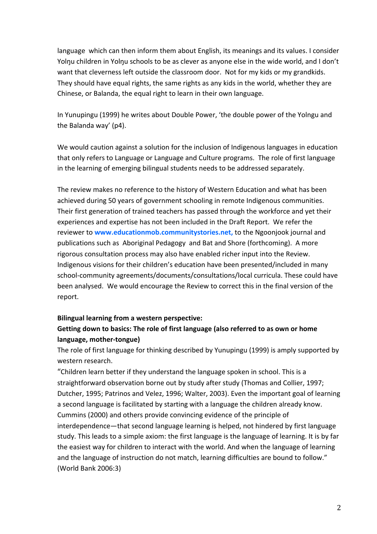language which can then inform them about English, its meanings and its values. I consider Yolnu children in Yolnu schools to be as clever as anyone else in the wide world, and I don't want that cleverness left outside the classroom door. Not for my kids or my grandkids. They should have equal rights, the same rights as any kids in the world, whether they are Chinese, or Balanda, the equal right to learn in their own language.

In Yunupingu (1999) he writes about Double Power, 'the double power of the Yolngu and the Balanda way' (p4).

We would caution against a solution for the inclusion of Indigenous languages in education that only refers to Language or Language and Culture programs. The role of first language in the learning of emerging bilingual students needs to be addressed separately.

The review makes no reference to the history of Western Education and what has been achieved during 50 years of government schooling in remote Indigenous communities. Their first generation of trained teachers has passed through the workforce and yet their experiences and expertise has not been included in the Draft Report. We refer the reviewer to **www.educationmob.communitystories.net**, to the Ngoonjook journal and publications such as Aboriginal Pedagogy and Bat and Shore (forthcoming). A more rigorous consultation process may also have enabled richer input into the Review. Indigenous visions for their children's education have been presented/included in many school-community agreements/documents/consultations/local curricula. These could have been analysed. We would encourage the Review to correct this in the final version of the report.

## **Bilingual learning from a western perspective:**

# **Getting down to basics: The role of first language (also referred to as own or home language, mother-tongue)**

The role of first language for thinking described by Yunupingu (1999) is amply supported by western research.

"Children learn better if they understand the language spoken in school. This is a straightforward observation borne out by study after study (Thomas and Collier, 1997; Dutcher, 1995; Patrinos and Velez, 1996; Walter, 2003). Even the important goal of learning a second language is facilitated by starting with a language the children already know. Cummins (2000) and others provide convincing evidence of the principle of interdependence—that second language learning is helped, not hindered by first language study. This leads to a simple axiom: the first language is the language of learning. It is by far the easiest way for children to interact with the world. And when the language of learning and the language of instruction do not match, learning difficulties are bound to follow." (World Bank 2006:3)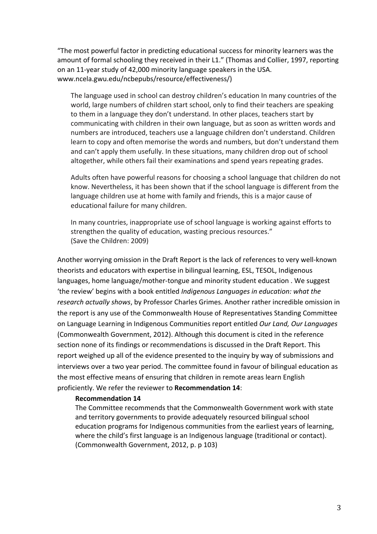"The most powerful factor in predicting educational success for minority learners was the amount of formal schooling they received in their L1." (Thomas and Collier, 1997, reporting on an 11-year study of 42,000 minority language speakers in the USA. www.ncela.gwu.edu/ncbepubs/resource/effectiveness/)

The language used in school can destroy children's education In many countries of the world, large numbers of children start school, only to find their teachers are speaking to them in a language they don't understand. In other places, teachers start by communicating with children in their own language, but as soon as written words and numbers are introduced, teachers use a language children don't understand. Children learn to copy and often memorise the words and numbers, but don't understand them and can't apply them usefully. In these situations, many children drop out of school altogether, while others fail their examinations and spend years repeating grades.

Adults often have powerful reasons for choosing a school language that children do not know. Nevertheless, it has been shown that if the school language is different from the language children use at home with family and friends, this is a major cause of educational failure for many children.

In many countries, inappropriate use of school language is working against efforts to strengthen the quality of education, wasting precious resources." (Save the Children: 2009)

Another worrying omission in the Draft Report is the lack of references to very well-known theorists and educators with expertise in bilingual learning, ESL, TESOL, Indigenous languages, home language/mother-tongue and minority student education . We suggest 'the review' begins with a book entitled *Indigenous Languages in education:* what the *research actually shows*, by Professor Charles Grimes. Another rather incredible omission in the report is any use of the Commonwealth House of Representatives Standing Committee on Language Learning in Indigenous Communities report entitled *Our Land, Our Languages* (Commonwealth Government, 2012). Although this document is cited in the reference section none of its findings or recommendations is discussed in the Draft Report. This report weighed up all of the evidence presented to the inquiry by way of submissions and interviews over a two year period. The committee found in favour of bilingual education as the most effective means of ensuring that children in remote areas learn English proficiently. We refer the reviewer to Recommendation 14:

#### **Recommendation 14**

The Committee recommends that the Commonwealth Government work with state and territory governments to provide adequately resourced bilingual school education programs for Indigenous communities from the earliest years of learning, where the child's first language is an Indigenous language (traditional or contact). (Commonwealth Government, 2012, p. p 103)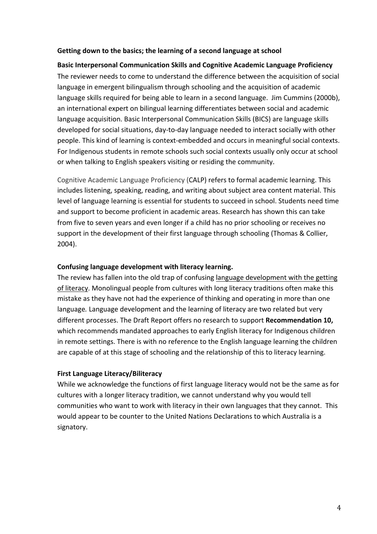### **Getting down to the basics; the learning of a second language at school**

**Basic Interpersonal Communication Skills and Cognitive Academic Language Proficiency** The reviewer needs to come to understand the difference between the acquisition of social language in emergent bilingualism through schooling and the acquisition of academic language skills required for being able to learn in a second language. Jim Cummins (2000b), an international expert on bilingual learning differentiates between social and academic language acquisition. Basic Interpersonal Communication Skills (BICS) are language skills developed for social situations, day-to-day language needed to interact socially with other people. This kind of learning is context-embedded and occurs in meaningful social contexts. For Indigenous students in remote schools such social contexts usually only occur at school or when talking to English speakers visiting or residing the community.

Cognitive Academic Language Proficiency (CALP) refers to formal academic learning. This includes listening, speaking, reading, and writing about subject area content material. This level of language learning is essential for students to succeed in school. Students need time and support to become proficient in academic areas. Research has shown this can take from five to seven years and even longer if a child has no prior schooling or receives no support in the development of their first language through schooling (Thomas & Collier, 2004). 

### Confusing language development with literacy learning.

The review has fallen into the old trap of confusing language development with the getting of literacy. Monolingual people from cultures with long literacy traditions often make this mistake as they have not had the experience of thinking and operating in more than one language. Language development and the learning of literacy are two related but very different processes. The Draft Report offers no research to support **Recommendation 10,** which recommends mandated approaches to early English literacy for Indigenous children in remote settings. There is with no reference to the English language learning the children are capable of at this stage of schooling and the relationship of this to literacy learning.

#### **First Language Literacy/Biliteracy**

While we acknowledge the functions of first language literacy would not be the same as for cultures with a longer literacy tradition, we cannot understand why you would tell communities who want to work with literacy in their own languages that they cannot. This would appear to be counter to the United Nations Declarations to which Australia is a signatory.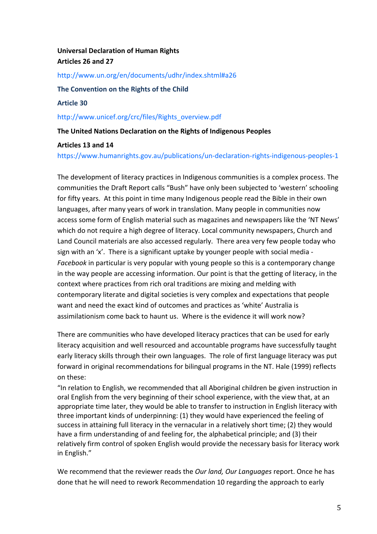# **Universal Declaration of Human Rights Articles 26 and 27**

http://www.un.org/en/documents/udhr/index.shtml#a26

The Convention on the Rights of the Child

**Article 30**

http://www.unicef.org/crc/files/Rights\_overview.pdf

**The United Nations Declaration on the Rights of Indigenous Peoples** 

### **Articles 13 and 14**

https://www.humanrights.gov.au/publications/un-declaration-rights-indigenous-peoples-1

The development of literacy practices in Indigenous communities is a complex process. The communities the Draft Report calls "Bush" have only been subjected to 'western' schooling for fifty years. At this point in time many Indigenous people read the Bible in their own languages, after many years of work in translation. Many people in communities now access some form of English material such as magazines and newspapers like the 'NT News' which do not require a high degree of literacy. Local community newspapers, Church and Land Council materials are also accessed regularly. There area very few people today who sign with an  $x'$ . There is a significant uptake by younger people with social media -*Facebook* in particular is very popular with young people so this is a contemporary change in the way people are accessing information. Our point is that the getting of literacy, in the context where practices from rich oral traditions are mixing and melding with contemporary literate and digital societies is very complex and expectations that people want and need the exact kind of outcomes and practices as 'white' Australia is assimilationism come back to haunt us. Where is the evidence it will work now?

There are communities who have developed literacy practices that can be used for early literacy acquisition and well resourced and accountable programs have successfully taught early literacy skills through their own languages. The role of first language literacy was put forward in original recommendations for bilingual programs in the NT. Hale (1999) reflects on these:

"In relation to English, we recommended that all Aboriginal children be given instruction in oral English from the very beginning of their school experience, with the view that, at an appropriate time later, they would be able to transfer to instruction in English literacy with three important kinds of underpinning: (1) they would have experienced the feeling of success in attaining full literacy in the vernacular in a relatively short time; (2) they would have a firm understanding of and feeling for, the alphabetical principle; and (3) their relatively firm control of spoken English would provide the necessary basis for literacy work in English."

We recommend that the reviewer reads the *Our land, Our Languages* report. Once he has done that he will need to rework Recommendation 10 regarding the approach to early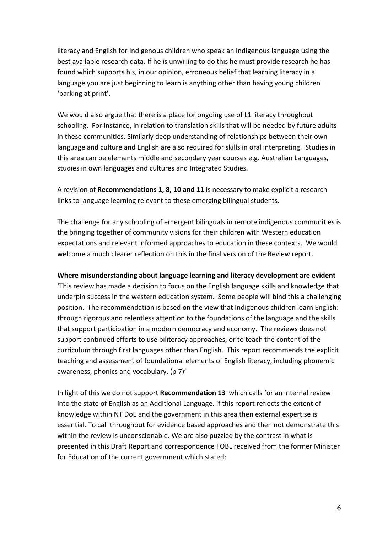literacy and English for Indigenous children who speak an Indigenous language using the best available research data. If he is unwilling to do this he must provide research he has found which supports his, in our opinion, erroneous belief that learning literacy in a language you are just beginning to learn is anything other than having young children 'barking at print'.

We would also argue that there is a place for ongoing use of L1 literacy throughout schooling. For instance, in relation to translation skills that will be needed by future adults in these communities. Similarly deep understanding of relationships between their own language and culture and English are also required for skills in oral interpreting. Studies in this area can be elements middle and secondary year courses e.g. Australian Languages, studies in own languages and cultures and Integrated Studies.

A revision of **Recommendations 1, 8, 10 and 11** is necessary to make explicit a research links to language learning relevant to these emerging bilingual students.

The challenge for any schooling of emergent bilinguals in remote indigenous communities is the bringing together of community visions for their children with Western education expectations and relevant informed approaches to education in these contexts. We would welcome a much clearer reflection on this in the final version of the Review report.

#### Where misunderstanding about language learning and literacy development are evident

This review has made a decision to focus on the English language skills and knowledge that underpin success in the western education system. Some people will bind this a challenging position. The recommendation is based on the view that Indigenous children learn English: through rigorous and relentless attention to the foundations of the language and the skills that support participation in a modern democracy and economy. The reviews does not support continued efforts to use biliteracy approaches, or to teach the content of the curriculum through first languages other than English. This report recommends the explicit teaching and assessment of foundational elements of English literacy, including phonemic awareness, phonics and vocabulary. (p 7)'

In light of this we do not support **Recommendation 13** which calls for an internal review into the state of English as an Additional Language. If this report reflects the extent of knowledge within NT DoE and the government in this area then external expertise is essential. To call throughout for evidence based approaches and then not demonstrate this within the review is unconscionable. We are also puzzled by the contrast in what is presented in this Draft Report and correspondence FOBL received from the former Minister for Education of the current government which stated: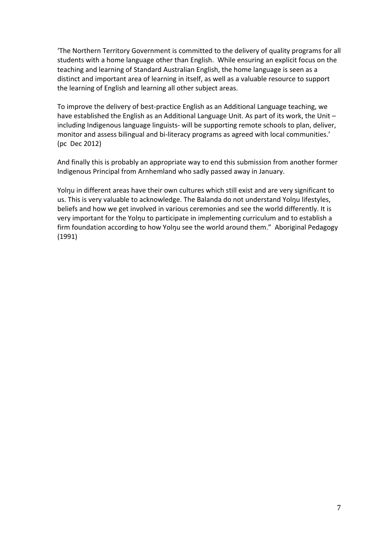The Northern Territory Government is committed to the delivery of quality programs for all students with a home language other than English. While ensuring an explicit focus on the teaching and learning of Standard Australian English, the home language is seen as a distinct and important area of learning in itself, as well as a valuable resource to support the learning of English and learning all other subject areas.

To improve the delivery of best-practice English as an Additional Language teaching, we have established the English as an Additional Language Unit. As part of its work, the Unit  $$ including Indigenous language linguists- will be supporting remote schools to plan, deliver, monitor and assess bilingual and bi-literacy programs as agreed with local communities.' (pc Dec 2012)

And finally this is probably an appropriate way to end this submission from another former Indigenous Principal from Arnhemland who sadly passed away in January.

Yolnu in different areas have their own cultures which still exist and are very significant to us. This is very valuable to acknowledge. The Balanda do not understand Yolnu lifestyles, beliefs and how we get involved in various ceremonies and see the world differently. It is very important for the Yolnu to participate in implementing curriculum and to establish a firm foundation according to how Yolnu see the world around them." Aboriginal Pedagogy (1991)